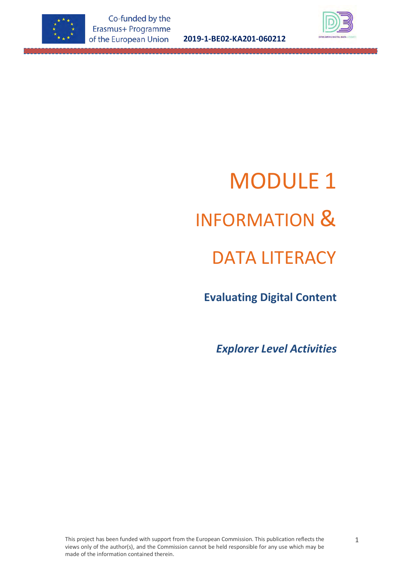

**2019-1-BE02-KA201-060212**



# MODULE 1 INFORMATION & DATA LITERACY

**Evaluating Digital Content**

*Explorer Level Activities*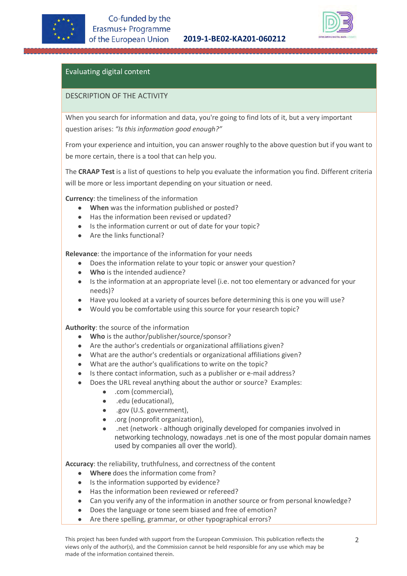

#### **2019-1-BE02-KA201-060212**



# Evaluating digital content

#### DESCRIPTION OF THE ACTIVITY

When you search for information and data, you're going to find lots of it, but a very important question arises: *"Is this information good enough?"* 

From your experience and intuition, you can answer roughly to the above question but if you want to be more certain, there is a tool that can help you.

The **CRAAP Test** is a list of questions to help you evaluate the information you find. Different criteria will be more or less important depending on your situation or need.

**Currency**: the timeliness of the information

- **When** was the information published or posted?
- Has the information been revised or updated?
- Is the information current or out of date for your topic?
- Are the links functional?

**Relevance**: the importance of the information for your needs

- Does the information relate to your topic or answer your question?
- Who is the intended audience?
- Is the information at an appropriate level (i.e. not too elementary or advanced for your needs)?
- Have you looked at a variety of sources before determining this is one you will use?
- Would you be comfortable using this source for your research topic?

**Authority**: the source of the information

- **Who** is the author/publisher/source/sponsor?
- Are the author's credentials or organizational affiliations given?
- What are the author's credentials or organizational affiliations given?
- What are the author's qualifications to write on the topic?
- Is there contact information, such as a publisher or e-mail address?
- Does the URL reveal anything about the author or source? Examples:
	- .com (commercial),
		- .edu (educational),
		- .gov (U.S. government),
		- .org (nonprofit organization),
		- .net (network although originally developed for companies involved in networking technology, nowadays .net is one of the most popular domain names used by companies all over the world).

**Accuracy**: the reliability, truthfulness, and correctness of the content

- **Where** does the information come from?
- Is the information supported by evidence?
- Has the information been reviewed or refereed?
- Can you verify any of the information in another source or from personal knowledge?
- Does the language or tone seem biased and free of emotion?
- Are there spelling, grammar, or other typographical errors?

This project has been funded with support from the European Commission. This publication reflects the views only of the author(s), and the Commission cannot be held responsible for any use which may be made of the information contained therein.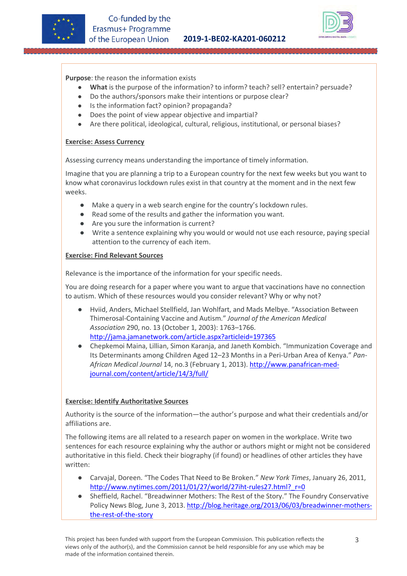



**Purpose**: the reason the information exists

- **What** is the purpose of the information? to inform? teach? sell? entertain? persuade?
- Do the authors/sponsors make their intentions or purpose clear?
- Is the information fact? opinion? propaganda?
- Does the point of view appear objective and impartial?
- Are there political, ideological, cultural, religious, institutional, or personal biases?

#### **Exercise: Assess Currency**

Assessing currency means understanding the importance of timely information.

Imagine that you are planning a trip to a European country for the next few weeks but you want to know what coronavirus lockdown rules exist in that country at the moment and in the next few weeks.

- Make a query in a web search engine for the country's lockdown rules.
- Read some of the results and gather the information you want.
- Are you sure the information is current?
- Write a sentence explaining why you would or would not use each resource, paying special attention to the currency of each item.

#### **Exercise: Find Relevant Sources**

Relevance is the importance of the information for your specific needs.

You are doing research for a paper where you want to argue that vaccinations have no connection to autism. Which of these resources would you consider relevant? Why or why not?

- Hviid, Anders, Michael Stellfield, Jan Wohlfart, and Mads Melbye. "Association Between Thimerosal-Containing Vaccine and Autism." *Journal of the American Medical Association* 290, no. 13 (October 1, 2003): 1763–1766. <http://jama.jamanetwork.com/article.aspx?articleid=197365>
- Chepkemoi Maina, Lillian, Simon Karanja, and Janeth Kombich. "Immunization Coverage and Its Determinants among Children Aged 12–23 Months in a Peri-Urban Area of Kenya." *Pan-African Medical Journal* 14, no.3 (February 1, 2013). [http://www.panafrican-med](http://www.panafrican-med-journal.com/content/article/14/3/full/)[journal.com/content/article/14/3/full/](http://www.panafrican-med-journal.com/content/article/14/3/full/)

#### **Exercise: Identify Authoritative Sources**

Authority is the source of the information—the author's purpose and what their credentials and/or affiliations are.

The following items are all related to a research paper on women in the workplace. Write two sentences for each resource explaining why the author or authors might or might not be considered authoritative in this field. Check their biography (if found) or headlines of other articles they have written:

- Carvajal, Doreen. "The Codes That Need to Be Broken." *New York Times*, January 26, 2011, [http://www.nytimes.com/2011/01/27/world/27iht-rules27.html?\\_r=0](http://www.nytimes.com/2011/01/27/world/27iht-rules27.html?_r=0)
- Sheffield, Rachel. "Breadwinner Mothers: The Rest of the Story." The Foundry Conservative Policy News Blog, June 3, 2013[. http://blog.heritage.org/2013/06/03/breadwinner-mothers](http://blog.heritage.org/2013/06/03/breadwinner-mothers-the-rest-of-the-story)[the-rest-of-the-story](http://blog.heritage.org/2013/06/03/breadwinner-mothers-the-rest-of-the-story)

This project has been funded with support from the European Commission. This publication reflects the views only of the author(s), and the Commission cannot be held responsible for any use which may be made of the information contained therein.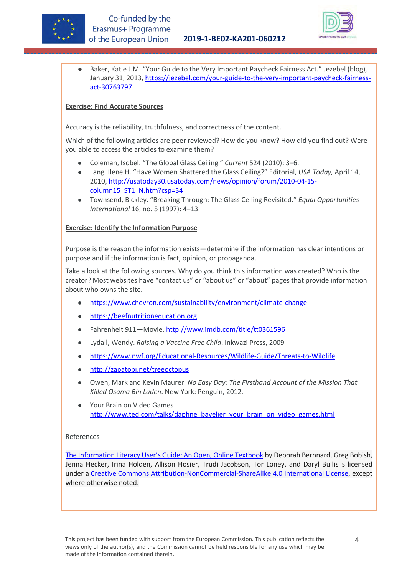



● Baker, Katie J.M. "Your Guide to the Very Important Paycheck Fairness Act." Jezebel (blog), January 31, 2013, [https://jezebel.com/your-guide-to-the-very-important-paycheck-fairness](https://jezebel.com/your-guide-to-the-very-important-paycheck-fairness-act-30763797)[act-30763797](https://jezebel.com/your-guide-to-the-very-important-paycheck-fairness-act-30763797) 

#### **Exercise: Find Accurate Sources**

Accuracy is the reliability, truthfulness, and correctness of the content.

Which of the following articles are peer reviewed? How do you know? How did you find out? Were you able to access the articles to examine them?

- Coleman, Isobel. "The Global Glass Ceiling." *Current* 524 (2010): 3–6.
- Lang, Ilene H. "Have Women Shattered the Glass Ceiling?" Editorial, *USA Today,* April 14, 2010, [http://usatoday30.usatoday.com/news/opinion/forum/2010-04-15](http://usatoday30.usatoday.com/news/opinion/forum/2010-04-15-column15_ST1_N.htm?csp=34) column15\_ST1\_N.htm?csp=34
- Townsend, Bickley. "Breaking Through: The Glass Ceiling Revisited." *Equal Opportunities International* 16, no. 5 (1997): 4–13.

#### **Exercise: Identify the Information Purpose**

Purpose is the reason the information exists—determine if the information has clear intentions or purpose and if the information is fact, opinion, or propaganda.

Take a look at the following sources. Why do you think this information was created? Who is the creator? Most websites have "contact us" or "about us" or "about" pages that provide information about who owns the site.

- https://www.chevron.com/sustainability/environment/climate-change
- https://beefnutritioneducation.org
- Fahrenheit 911-Movie. http://www.imdb.com/title/tt0361596
- Lydall, Wendy. *Raising a Vaccine Free Child*. Inkwazi Press, 2009
- https://www.nwf.org/Educational-Resources/Wildlife-Guide/Threats-to-Wildlife
- [http://zapatopi.net/treeoctopus](http://zapatopi.net/treeoctopus/)
- Owen, Mark and Kevin Maurer. *No Easy Day: The Firsthand Account of the Mission That Killed Osama Bin Laden*. New York: Penguin, 2012.
- Your Brain on Video Games http://www.ted.com/talks/daphne\_bavelier\_your\_brain\_on\_video\_games.html

#### References

[The Information Literacy User's Guide: An Open, Online Textbook](https://milnepublishing.geneseo.edu/the-information-literacy-users-guide-an-open-online-textbook) by Deborah Bernnard, Greg Bobish, Jenna Hecker, Irina Holden, Allison Hosier, Trudi Jacobson, Tor Loney, and Daryl Bullis is licensed under a [Creative Commons Attribution-NonCommercial-ShareAlike 4.0 International License,](https://creativecommons.org/licenses/by-nc-sa/4.0/) except where otherwise noted.